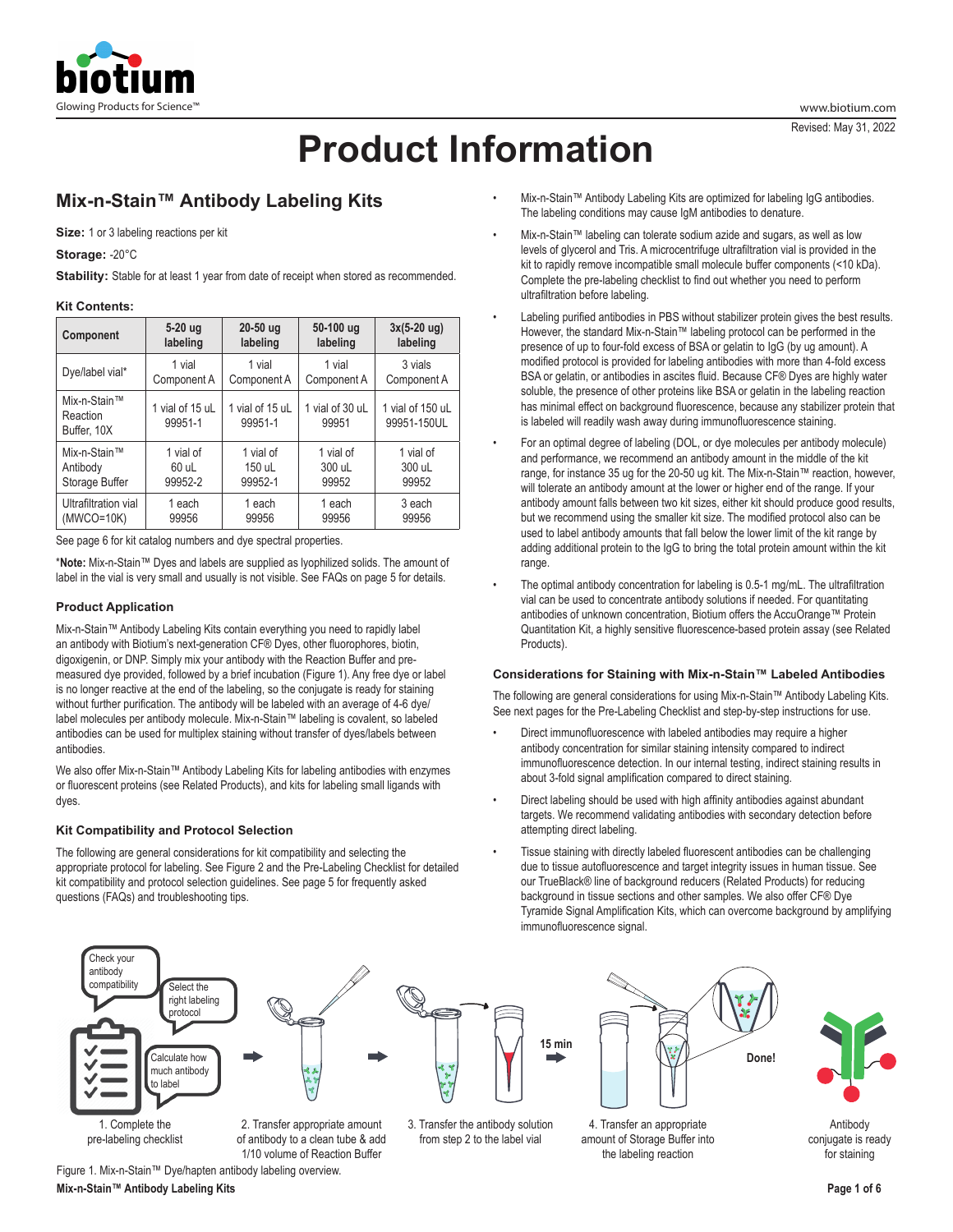

# **Product Information**

# **Mix-n-Stain™ Antibody Labeling Kits**

**Size:** 1 or 3 labeling reactions per kit

**Storage:** -20°C

Stability: Stable for at least 1 year from date of receipt when stored as recommended.

# **Kit Contents:**

| Component                               | 5-20 ug                    | $20-50$ ug                 | 50-100 ug                | $3x(5-20)$ ug)                  |
|-----------------------------------------|----------------------------|----------------------------|--------------------------|---------------------------------|
|                                         | labeling                   | labeling                   | labeling                 | labeling                        |
| Dye/label vial*                         | 1 vial                     | 1 vial                     | 1 vial                   | 3 vials                         |
|                                         | Component A                | Component A                | Component A              | Component A                     |
| Mix-n-Stain™<br>Reaction<br>Buffer, 10X | 1 vial of 15 uL<br>99951-1 | 1 vial of 15 uL<br>99951-1 | 1 vial of 30 uL<br>99951 | 1 vial of 150 uL<br>99951-150UL |
| Mix-n-Stain™                            | 1 vial of                  | 1 vial of                  | 1 vial of                | 1 vial of                       |
| Antibody                                | 60 uL                      | 150 uL                     | 300 uL                   | 300 uL                          |
| Storage Buffer                          | 99952-2                    | 99952-1                    | 99952                    | 99952                           |
| Ultrafiltration vial                    | 1 each                     | 1 each                     | 1 each                   | 3 each                          |
| $(MWCO=10K)$                            | 99956                      | 99956                      | 99956                    | 99956                           |

See page 6 for kit catalog numbers and dye spectral properties.

\***Note:** Mix-n-Stain™ Dyes and labels are supplied as lyophilized solids. The amount of label in the vial is very small and usually is not visible. See FAQs on page 5 for details.

# **Product Application**

Mix-n-Stain™ Antibody Labeling Kits contain everything you need to rapidly label an antibody with Biotium's next-generation CF® Dyes, other fluorophores, biotin, digoxigenin, or DNP. Simply mix your antibody with the Reaction Buffer and premeasured dye provided, followed by a brief incubation (Figure 1). Any free dye or label is no longer reactive at the end of the labeling, so the conjugate is ready for staining without further purification. The antibody will be labeled with an average of 4-6 dye/ label molecules per antibody molecule. Mix-n-Stain™ labeling is covalent, so labeled antibodies can be used for multiplex staining without transfer of dyes/labels between antibodies.

We also offer Mix-n-Stain™ Antibody Labeling Kits for labeling antibodies with enzymes or fluorescent proteins (see Related Products), and kits for labeling small ligands with dyes.

# **Kit Compatibility and Protocol Selection**

The following are general considerations for kit compatibility and selecting the appropriate protocol for labeling. See Figure 2 and the Pre-Labeling Checklist for detailed kit compatibility and protocol selection guidelines. See page 5 for frequently asked questions (FAQs) and troubleshooting tips.

- Mix-n-Stain™ Antibody Labeling Kits are optimized for labeling IgG antibodies. The labeling conditions may cause IgM antibodies to denature.
- Mix-n-Stain™ labeling can tolerate sodium azide and sugars, as well as low levels of glycerol and Tris. A microcentrifuge ultrafiltration vial is provided in the kit to rapidly remove incompatible small molecule buffer components (<10 kDa). Complete the pre-labeling checklist to find out whether you need to perform ultrafiltration before labeling.
- Labeling purified antibodies in PBS without stabilizer protein gives the best results. However, the standard Mix-n-Stain™ labeling protocol can be performed in the presence of up to four-fold excess of BSA or gelatin to IgG (by ug amount). A modified protocol is provided for labeling antibodies with more than 4-fold excess BSA or gelatin, or antibodies in ascites fluid. Because CF® Dyes are highly water soluble, the presence of other proteins like BSA or gelatin in the labeling reaction has minimal effect on background fluorescence, because any stabilizer protein that is labeled will readily wash away during immunofluorescence staining.
- For an optimal degree of labeling (DOL, or dye molecules per antibody molecule) and performance, we recommend an antibody amount in the middle of the kit range, for instance 35 ug for the 20-50 ug kit. The Mix-n-Stain™ reaction, however, will tolerate an antibody amount at the lower or higher end of the range. If your antibody amount falls between two kit sizes, either kit should produce good results, but we recommend using the smaller kit size. The modified protocol also can be used to label antibody amounts that fall below the lower limit of the kit range by adding additional protein to the IgG to bring the total protein amount within the kit range.
- The optimal antibody concentration for labeling is 0.5-1 mg/mL. The ultrafiltration vial can be used to concentrate antibody solutions if needed. For quantitating antibodies of unknown concentration, Biotium offers the AccuOrange™ Protein Quantitation Kit, a highly sensitive fluorescence-based protein assay (see Related Products).

# **Considerations for Staining with Mix-n-Stain™ Labeled Antibodies**

The following are general considerations for using Mix-n-Stain™ Antibody Labeling Kits. See next pages for the Pre-Labeling Checklist and step-by-step instructions for use.

- Direct immunofluorescence with labeled antibodies may require a higher antibody concentration for similar staining intensity compared to indirect immunofluorescence detection. In our internal testing, indirect staining results in about 3-fold signal amplification compared to direct staining.
- Direct labeling should be used with high affinity antibodies against abundant targets. We recommend validating antibodies with secondary detection before attempting direct labeling.
- Tissue staining with directly labeled fluorescent antibodies can be challenging due to tissue autofluorescence and target integrity issues in human tissue. See our TrueBlack® line of background reducers (Related Products) for reducing background in tissue sections and other samples. We also offer CF® Dye Tyramide Signal Amplification Kits, which can overcome background by amplifying immunofluorescence signal.



pre-labeling checklist

of antibody to a clean tube & add 1/10 volume of Reaction Buffer

Figure 1. Mix-n-Stain™ Dye/hapten antibody labeling overview.

from step 2 to the label vial



4. Transfer an appropriate amount of Storage Buffer into the labeling reaction



Antibody conjugate is ready for staining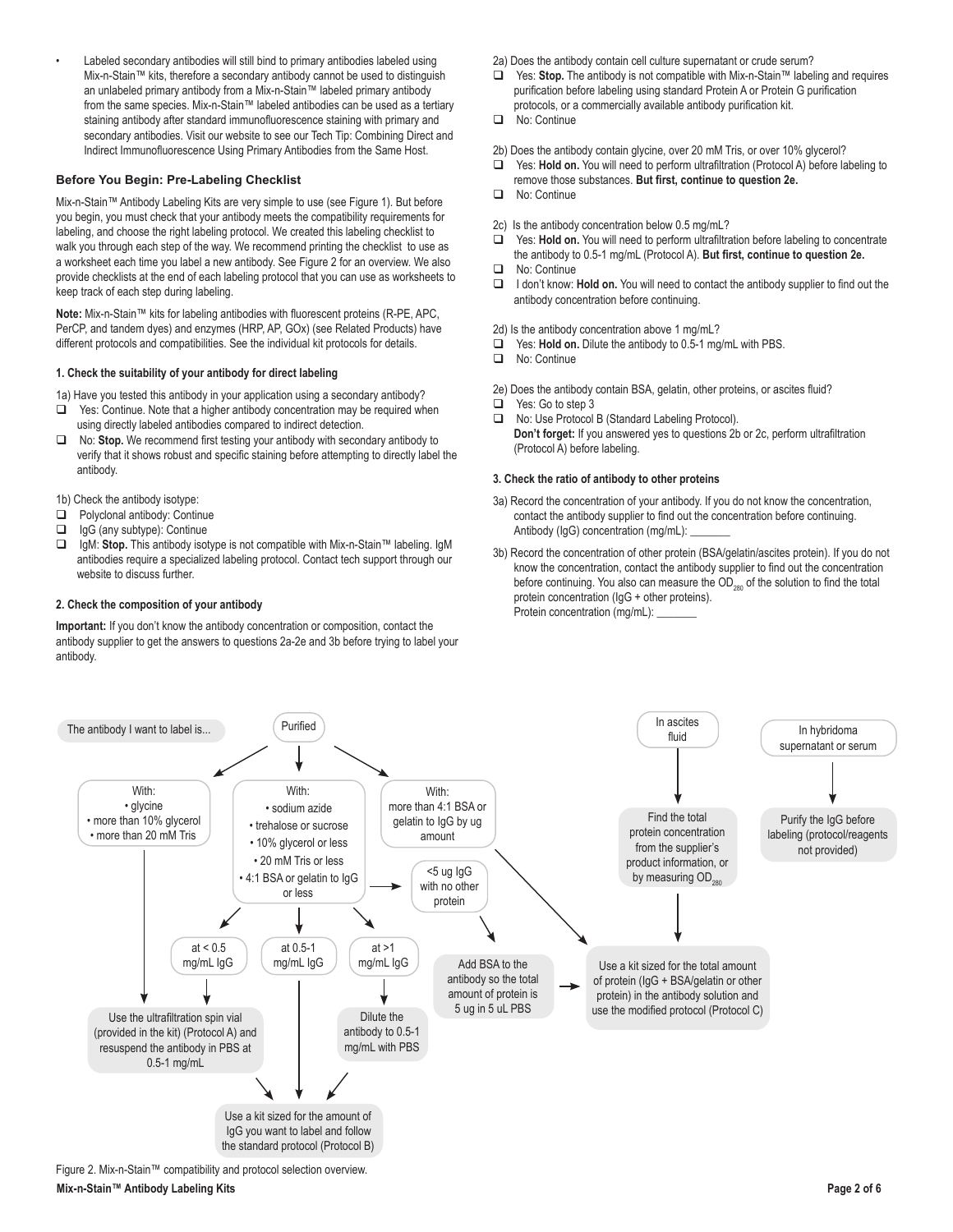Labeled secondary antibodies will still bind to primary antibodies labeled using Mix-n-Stain™ kits, therefore a secondary antibody cannot be used to distinguish an unlabeled primary antibody from a Mix-n-Stain™ labeled primary antibody from the same species. Mix-n-Stain™ labeled antibodies can be used as a tertiary staining antibody after standard immunofluorescence staining with primary and secondary antibodies. Visit our website to see our Tech Tip: Combining Direct and Indirect Immunofluorescence Using Primary Antibodies from the Same Host.

# **Before You Begin: Pre-Labeling Checklist**

Mix-n-Stain™ Antibody Labeling Kits are very simple to use (see Figure 1). But before you begin, you must check that your antibody meets the compatibility requirements for labeling, and choose the right labeling protocol. We created this labeling checklist to walk you through each step of the way. We recommend printing the checklist to use as a worksheet each time you label a new antibody. See Figure 2 for an overview. We also provide checklists at the end of each labeling protocol that you can use as worksheets to keep track of each step during labeling.

**Note:** Mix-n-Stain™ kits for labeling antibodies with fluorescent proteins (R-PE, APC, PerCP, and tandem dyes) and enzymes (HRP, AP, GOx) (see Related Products) have different protocols and compatibilities. See the individual kit protocols for details.

#### **1. Check the suitability of your antibody for direct labeling**

1a) Have you tested this antibody in your application using a secondary antibody?

- □ Yes: Continue. Note that a higher antibody concentration may be required when using directly labeled antibodies compared to indirect detection.
- No: **Stop.** We recommend first testing your antibody with secondary antibody to verify that it shows robust and specific staining before attempting to directly label the antibody.

1b) Check the antibody isotype:

- **Polyclonal antibody: Continue**
- □ IgG (any subtype): Continue
- IgM: **Stop.** This antibody isotype is not compatible with Mix-n-Stain™ labeling. IgM antibodies require a specialized labeling protocol. Contact tech support through our website to discuss further.

#### **2. Check the composition of your antibody**

**Important:** If you don't know the antibody concentration or composition, contact the antibody supplier to get the answers to questions 2a-2e and 3b before trying to label your antibody.

- 2a) Does the antibody contain cell culture supernatant or crude serum?
- Yes: **Stop.** The antibody is not compatible with Mix-n-Stain™ labeling and requires purification before labeling using standard Protein A or Protein G purification protocols, or a commercially available antibody purification kit.
- No: Continue
- 2b) Does the antibody contain glycine, over 20 mM Tris, or over 10% glycerol?
- Yes: **Hold on.** You will need to perform ultrafiltration (Protocol A) before labeling to remove those substances. **But first, continue to question 2e.**
- **No: Continue**
- 2c) Is the antibody concentration below 0.5 mg/mL?
- Yes: **Hold on.** You will need to perform ultrafiltration before labeling to concentrate the antibody to 0.5-1 mg/mL (Protocol A). **But first, continue to question 2e.**
- **No: Continue**
- □ I don't know: **Hold on.** You will need to contact the antibody supplier to find out the antibody concentration before continuing.
- 2d) Is the antibody concentration above 1 mg/mL?
- Yes: **Hold on.** Dilute the antibody to 0.5-1 mg/mL with PBS.
- No: Continue
- 2e) Does the antibody contain BSA, gelatin, other proteins, or ascites fluid?
- □ Yes: Go to step 3
- □ No: Use Protocol B (Standard Labeling Protocol). **Don't forget:** If you answered yes to questions 2b or 2c, perform ultrafiltration (Protocol A) before labeling.

#### **3. Check the ratio of antibody to other proteins**

- 3a) Record the concentration of your antibody. If you do not know the concentration, contact the antibody supplier to find out the concentration before continuing. Antibody (IgG) concentration (mg/mL):
- 3b) Record the concentration of other protein (BSA/gelatin/ascites protein). If you do not know the concentration, contact the antibody supplier to find out the concentration before continuing. You also can measure the OD<sub>280</sub> of the solution to find the total protein concentration (IgG + other proteins). Protein concentration (mg/mL):



Figure 2. Mix-n-Stain™ compatibility and protocol selection overview.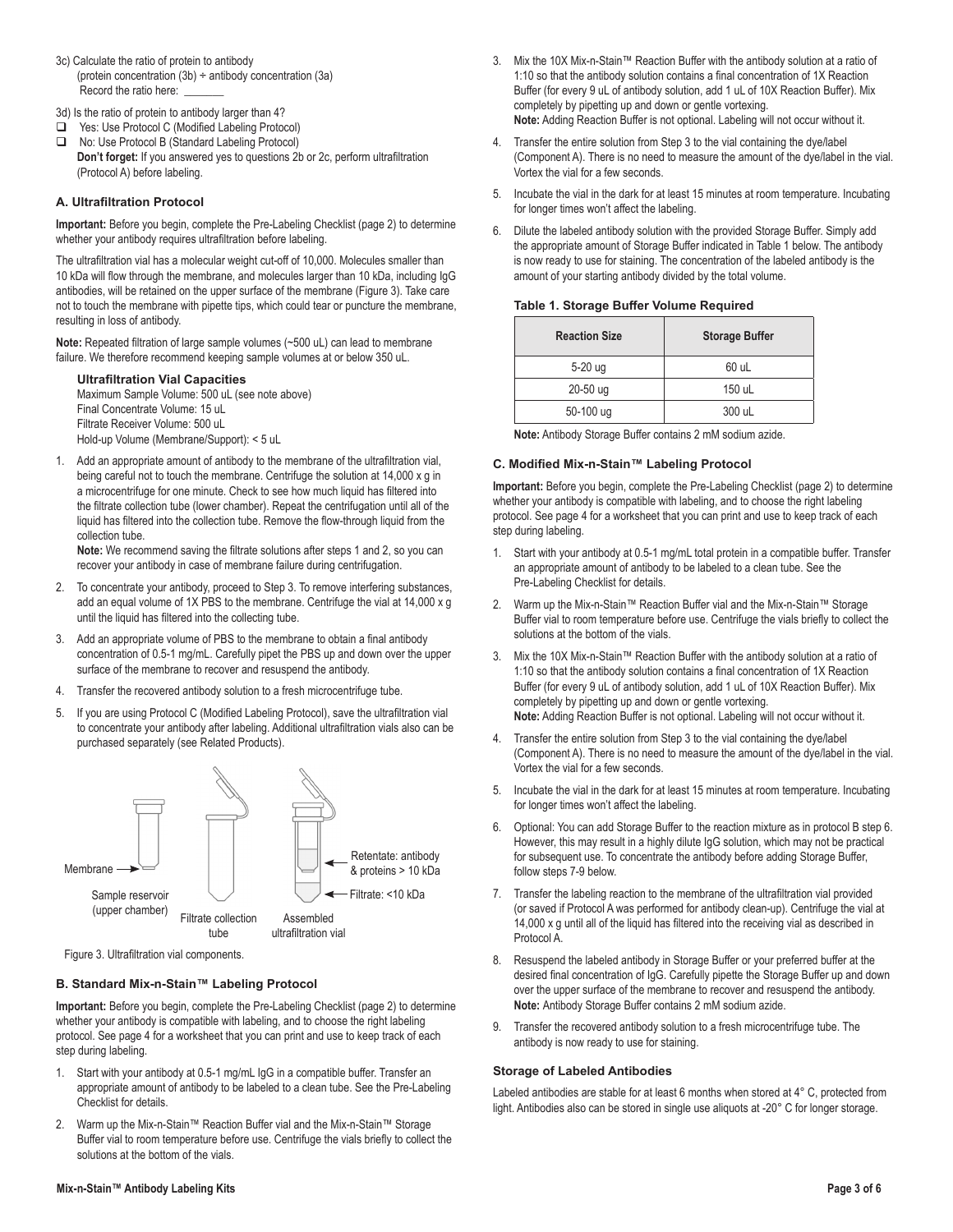3c) Calculate the ratio of protein to antibody (protein concentration (3b) ÷ antibody concentration (3a) Record the ratio here:

3d) Is the ratio of protein to antibody larger than 4?

- Yes: Use Protocol C (Modified Labeling Protocol)
- □ No: Use Protocol B (Standard Labeling Protocol) **Don't forget:** If you answered yes to questions 2b or 2c, perform ultrafiltration (Protocol A) before labeling.

# **A. Ultrafiltration Protocol**

**Important:** Before you begin, complete the Pre-Labeling Checklist (page 2) to determine whether your antibody requires ultrafiltration before labeling.

The ultrafiltration vial has a molecular weight cut-off of 10,000. Molecules smaller than 10 kDa will flow through the membrane, and molecules larger than 10 kDa, including IgG antibodies, will be retained on the upper surface of the membrane (Figure 3). Take care not to touch the membrane with pipette tips, which could tear or puncture the membrane, resulting in loss of antibody.

**Note:** Repeated filtration of large sample volumes (~500 uL) can lead to membrane failure. We therefore recommend keeping sample volumes at or below 350 uL.

**Ultrafiltration Vial Capacities**

Maximum Sample Volume: 500 uL (see note above) Final Concentrate Volume: 15 uL Filtrate Receiver Volume: 500 uL Hold-up Volume (Membrane/Support): < 5 uL

1. Add an appropriate amount of antibody to the membrane of the ultrafiltration vial, being careful not to touch the membrane. Centrifuge the solution at 14,000 x g in a microcentrifuge for one minute. Check to see how much liquid has filtered into the filtrate collection tube (lower chamber). Repeat the centrifugation until all of the liquid has filtered into the collection tube. Remove the flow-through liquid from the collection tube.

**Note:** We recommend saving the filtrate solutions after steps 1 and 2, so you can recover your antibody in case of membrane failure during centrifugation.

- 2. To concentrate your antibody, proceed to Step 3. To remove interfering substances, add an equal volume of 1X PBS to the membrane. Centrifuge the vial at 14,000 x g until the liquid has filtered into the collecting tube.
- 3. Add an appropriate volume of PBS to the membrane to obtain a final antibody concentration of 0.5-1 mg/mL. Carefully pipet the PBS up and down over the upper surface of the membrane to recover and resuspend the antibody.
- 4. Transfer the recovered antibody solution to a fresh microcentrifuge tube.
- 5. If you are using Protocol C (Modified Labeling Protocol), save the ultrafiltration vial to concentrate your antibody after labeling. Additional ultrafiltration vials also can be purchased separately (see Related Products).



Figure 3. Ultrafiltration vial components.

#### **B. Standard Mix-n-Stain™ Labeling Protocol**

**Important:** Before you begin, complete the Pre-Labeling Checklist (page 2) to determine whether your antibody is compatible with labeling, and to choose the right labeling protocol. See page 4 for a worksheet that you can print and use to keep track of each step during labeling.

- 1. Start with your antibody at 0.5-1 mg/mL IgG in a compatible buffer. Transfer an appropriate amount of antibody to be labeled to a clean tube. See the Pre-Labeling Checklist for details.
- 2. Warm up the Mix-n-Stain™ Reaction Buffer vial and the Mix-n-Stain™ Storage Buffer vial to room temperature before use. Centrifuge the vials briefly to collect the solutions at the bottom of the vials.
- 3. Mix the 10X Mix-n-Stain™ Reaction Buffer with the antibody solution at a ratio of 1:10 so that the antibody solution contains a final concentration of 1X Reaction Buffer (for every 9 uL of antibody solution, add 1 uL of 10X Reaction Buffer). Mix completely by pipetting up and down or gentle vortexing. **Note:** Adding Reaction Buffer is not optional. Labeling will not occur without it.
- 4. Transfer the entire solution from Step 3 to the vial containing the dye/label (Component A). There is no need to measure the amount of the dye/label in the vial. Vortex the vial for a few seconds.
- 5. Incubate the vial in the dark for at least 15 minutes at room temperature. Incubating for longer times won't affect the labeling.
- 6. Dilute the labeled antibody solution with the provided Storage Buffer. Simply add the appropriate amount of Storage Buffer indicated in Table 1 below. The antibody is now ready to use for staining. The concentration of the labeled antibody is the amount of your starting antibody divided by the total volume.

|  |  | Table 1. Storage Buffer Volume Required |  |  |  |
|--|--|-----------------------------------------|--|--|--|
|  |  |                                         |  |  |  |

| <b>Reaction Size</b> | <b>Storage Buffer</b> |
|----------------------|-----------------------|
| 5-20 ug              | 60 uL                 |
| $20-50$ ug           | 150 uL                |
| 50-100 ug            | 300 uL                |

**Note:** Antibody Storage Buffer contains 2 mM sodium azide.

# **C. Modified Mix-n-Stain™ Labeling Protocol**

**Important:** Before you begin, complete the Pre-Labeling Checklist (page 2) to determine whether your antibody is compatible with labeling, and to choose the right labeling protocol. See page 4 for a worksheet that you can print and use to keep track of each step during labeling.

- 1. Start with your antibody at 0.5-1 mg/mL total protein in a compatible buffer. Transfer an appropriate amount of antibody to be labeled to a clean tube. See the Pre-Labeling Checklist for details.
- 2. Warm up the Mix-n-Stain™ Reaction Buffer vial and the Mix-n-Stain™ Storage Buffer vial to room temperature before use. Centrifuge the vials briefly to collect the solutions at the bottom of the vials.
- 3. Mix the 10X Mix-n-Stain™ Reaction Buffer with the antibody solution at a ratio of 1:10 so that the antibody solution contains a final concentration of 1X Reaction Buffer (for every 9 uL of antibody solution, add 1 uL of 10X Reaction Buffer). Mix completely by pipetting up and down or gentle vortexing. **Note:** Adding Reaction Buffer is not optional. Labeling will not occur without it.
- Transfer the entire solution from Step 3 to the vial containing the dye/label (Component A). There is no need to measure the amount of the dye/label in the vial. Vortex the vial for a few seconds.
- 5. Incubate the vial in the dark for at least 15 minutes at room temperature. Incubating for longer times won't affect the labeling.
- 6. Optional: You can add Storage Buffer to the reaction mixture as in protocol B step 6. However, this may result in a highly dilute IgG solution, which may not be practical for subsequent use. To concentrate the antibody before adding Storage Buffer, follow steps 7-9 below.
- 7. Transfer the labeling reaction to the membrane of the ultrafiltration vial provided (or saved if Protocol A was performed for antibody clean-up). Centrifuge the vial at 14,000 x g until all of the liquid has filtered into the receiving vial as described in Protocol A.
- 8. Resuspend the labeled antibody in Storage Buffer or your preferred buffer at the desired final concentration of IgG. Carefully pipette the Storage Buffer up and down over the upper surface of the membrane to recover and resuspend the antibody. **Note:** Antibody Storage Buffer contains 2 mM sodium azide.
- 9. Transfer the recovered antibody solution to a fresh microcentrifuge tube. The antibody is now ready to use for staining.

#### **Storage of Labeled Antibodies**

Labeled antibodies are stable for at least 6 months when stored at 4° C, protected from light. Antibodies also can be stored in single use aliquots at -20° C for longer storage.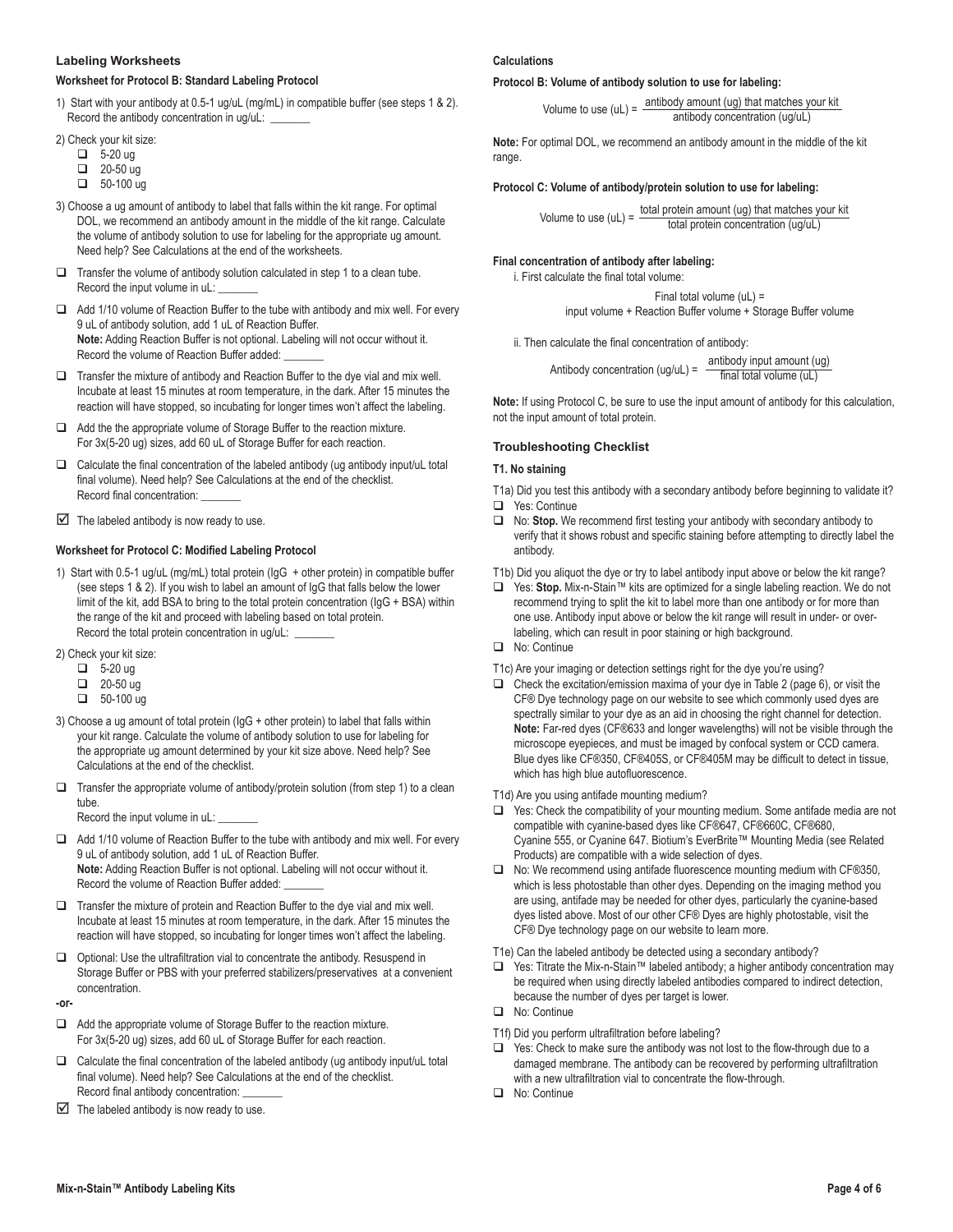#### **Labeling Worksheets**

# **Worksheet for Protocol B: Standard Labeling Protocol**

1) Start with your antibody at 0.5-1 ug/uL (mg/mL) in compatible buffer (see steps 1 & 2). Record the antibody concentration in ug/uL:

2) Check your kit size:

- $\overline{\phantom{0}}$  5-20 ug
- $\Box$  20-50 ug
- $\Box$  50-100 ug
- 3) Choose a ug amount of antibody to label that falls within the kit range. For optimal DOL, we recommend an antibody amount in the middle of the kit range. Calculate the volume of antibody solution to use for labeling for the appropriate ug amount. Need help? See Calculations at the end of the worksheets.
- $\Box$  Transfer the volume of antibody solution calculated in step 1 to a clean tube. Record the input volume in uL:
- Add 1/10 volume of Reaction Buffer to the tube with antibody and mix well. For every 9 uL of antibody solution, add 1 uL of Reaction Buffer. **Note:** Adding Reaction Buffer is not optional. Labeling will not occur without it. Record the volume of Reaction Buffer added:
- $\Box$  Transfer the mixture of antibody and Reaction Buffer to the dye vial and mix well. Incubate at least 15 minutes at room temperature, in the dark. After 15 minutes the reaction will have stopped, so incubating for longer times won't affect the labeling.
- Add the the appropriate volume of Storage Buffer to the reaction mixture. For 3x(5-20 ug) sizes, add 60 uL of Storage Buffer for each reaction.
- $\Box$  Calculate the final concentration of the labeled antibody (ug antibody input/uL total final volume). Need help? See Calculations at the end of the checklist. Record final concentration:
- $\triangleright$  The labeled antibody is now ready to use.

# **Worksheet for Protocol C: Modified Labeling Protocol**

- 1) Start with 0.5-1 ug/uL (mg/mL) total protein (IgG + other protein) in compatible buffer (see steps 1 & 2). If you wish to label an amount of IgG that falls below the lower limit of the kit, add BSA to bring to the total protein concentration (IgG + BSA) within the range of the kit and proceed with labeling based on total protein. Record the total protein concentration in ug/uL:
- 2) Check your kit size:
	- $\Box$  5-20 ug
	- $20-50$  ug
	- $\Box$  50-100 ug
- 3) Choose a ug amount of total protein (IgG + other protein) to label that falls within your kit range. Calculate the volume of antibody solution to use for labeling for the appropriate ug amount determined by your kit size above. Need help? See Calculations at the end of the checklist.
- $\Box$  Transfer the appropriate volume of antibody/protein solution (from step 1) to a clean tube.

Record the input volume in uL:

- Add 1/10 volume of Reaction Buffer to the tube with antibody and mix well. For every 9 uL of antibody solution, add 1 uL of Reaction Buffer. **Note:** Adding Reaction Buffer is not optional. Labeling will not occur without it. Record the volume of Reaction Buffer added:
- $\Box$  Transfer the mixture of protein and Reaction Buffer to the dye vial and mix well. Incubate at least 15 minutes at room temperature, in the dark. After 15 minutes the reaction will have stopped, so incubating for longer times won't affect the labeling.
- $\Box$  Optional: Use the ultrafiltration vial to concentrate the antibody. Resuspend in Storage Buffer or PBS with your preferred stabilizers/preservatives at a convenient concentration.

**-or-**

- Add the appropriate volume of Storage Buffer to the reaction mixture. For 3x(5-20 ug) sizes, add 60 uL of Storage Buffer for each reaction.
- $\Box$  Calculate the final concentration of the labeled antibody (ug antibody input/uL total final volume). Need help? See Calculations at the end of the checklist. Record final antibody concentration:
- $\boxtimes$  The labeled antibody is now ready to use.

#### **Calculations**

**Protocol B: Volume of antibody solution to use for labeling:**

Volume to use  $(UL) = \frac{antbody \text{ amount } (ug) \text{ that matches your kit}}{artib \text{ at } g}$ antibody concentration (ug/uL)

**Note:** For optimal DOL, we recommend an antibody amount in the middle of the kit range.

#### **Protocol C: Volume of antibody/protein solution to use for labeling:**

Volume to use  $(uL) = \frac{\text{total protein amount (ug) that matches your kit}}{\text{total weight}}$ total protein concentration (ug/uL)

#### **Final concentration of antibody after labeling:**

i. First calculate the final total volume:

Final total volume (uL) =

input volume + Reaction Buffer volume + Storage Buffer volume

ii. Then calculate the final concentration of antibody:

Antibody concentration (ug/uL) =  $\frac{\text{antibody input amount (ug)}}{\text{final total volume (ul)}}$ final total volume (uL)

**Note:** If using Protocol C, be sure to use the input amount of antibody for this calculation, not the input amount of total protein.

# **Troubleshooting Checklist**

#### **T1. No staining**

- T1a) Did you test this antibody with a secondary antibody before beginning to validate it? □ Yes: Continue
- No: **Stop.** We recommend first testing your antibody with secondary antibody to verify that it shows robust and specific staining before attempting to directly label the antibody.
- T1b) Did you aliquot the dye or try to label antibody input above or below the kit range?
- Yes: **Stop.** Mix-n-Stain™ kits are optimized for a single labeling reaction. We do not recommend trying to split the kit to label more than one antibody or for more than one use. Antibody input above or below the kit range will result in under- or overlabeling, which can result in poor staining or high background.
- No: Continue
- T1c) Are your imaging or detection settings right for the dye you're using?
- $\Box$  Check the excitation/emission maxima of your dye in Table 2 (page 6), or visit the CF® Dye technology page on our website to see which commonly used dyes are spectrally similar to your dye as an aid in choosing the right channel for detection. **Note:** Far-red dyes (CF®633 and longer wavelengths) will not be visible through the microscope eyepieces, and must be imaged by confocal system or CCD camera. Blue dyes like CF®350, CF®405S, or CF®405M may be difficult to detect in tissue, which has high blue autofluorescence.

T1d) Are you using antifade mounting medium?

- $\Box$  Yes: Check the compatibility of your mounting medium. Some antifade media are not compatible with cyanine-based dyes like CF®647, CF®660C, CF®680, Cyanine 555, or Cyanine 647. Biotium's EverBrite™ Mounting Media (see Related Products) are compatible with a wide selection of dyes.
- No: We recommend using antifade fluorescence mounting medium with CF®350, which is less photostable than other dyes. Depending on the imaging method you are using, antifade may be needed for other dyes, particularly the cyanine-based dyes listed above. Most of our other CF® Dyes are highly photostable, visit the CF® Dye technology page on our website to learn more.

T1e) Can the labeled antibody be detected using a secondary antibody?

- Yes: Titrate the Mix-n-Stain™ labeled antibody; a higher antibody concentration may be required when using directly labeled antibodies compared to indirect detection, because the number of dyes per target is lower.
- No: Continue
- T1f) Did you perform ultrafiltration before labeling?
- $\Box$  Yes: Check to make sure the antibody was not lost to the flow-through due to a damaged membrane. The antibody can be recovered by performing ultrafiltration with a new ultrafiltration vial to concentrate the flow-through.
- No: Continue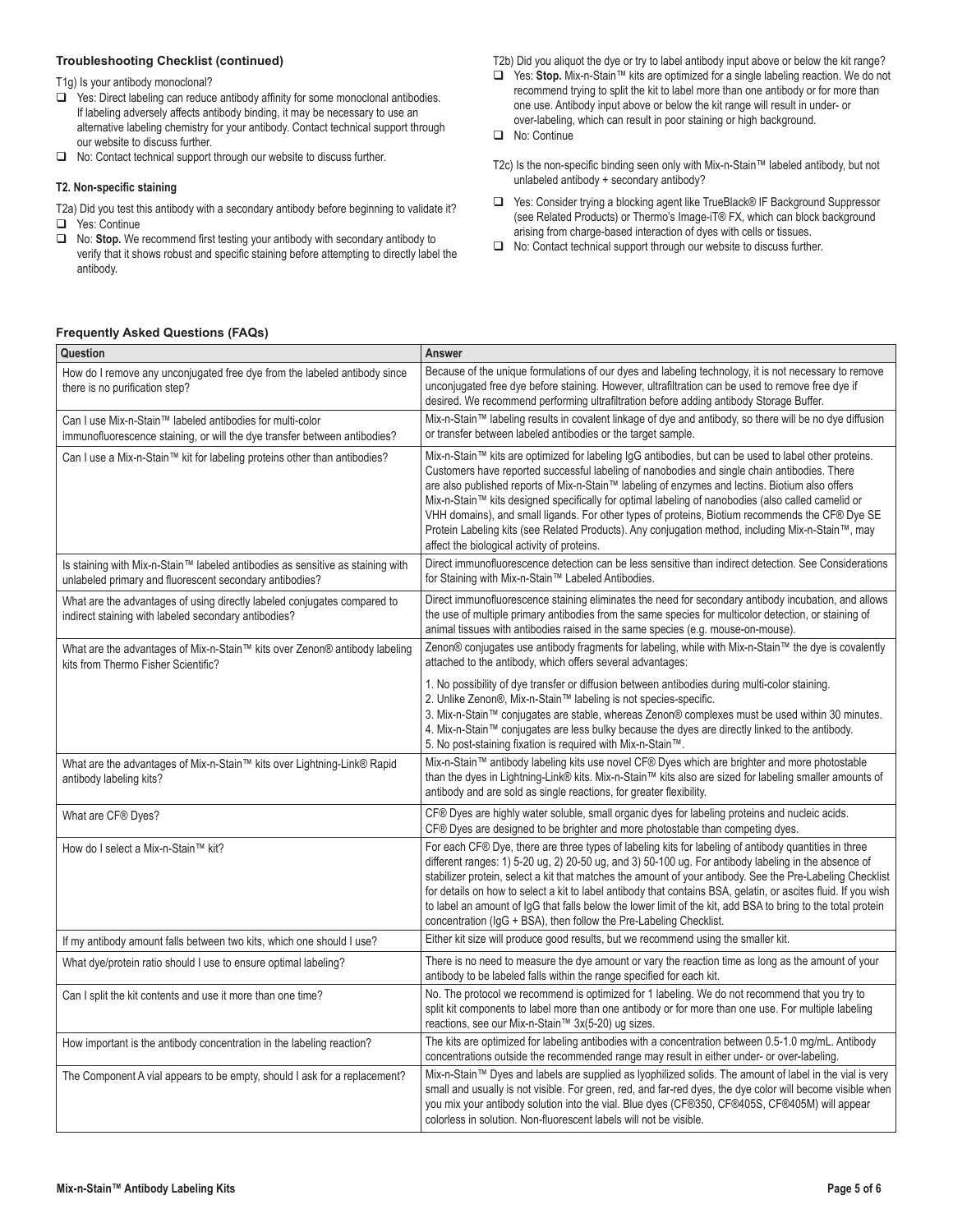# **Troubleshooting Checklist (continued)**

T1g) Is your antibody monoclonal?

- □ Yes: Direct labeling can reduce antibody affinity for some monoclonal antibodies. If labeling adversely affects antibody binding, it may be necessary to use an alternative labeling chemistry for your antibody. Contact technical support through our website to discuss further.
- □ No: Contact technical support through our website to discuss further.

#### **T2. Non-specific staining**

- T2a) Did you test this antibody with a secondary antibody before beginning to validate it? □ Yes: Continue
- No: **Stop.** We recommend first testing your antibody with secondary antibody to verify that it shows robust and specific staining before attempting to directly label the antibody.
- T2b) Did you aliquot the dye or try to label antibody input above or below the kit range?
- Yes: **Stop.** Mix-n-Stain™ kits are optimized for a single labeling reaction. We do not recommend trying to split the kit to label more than one antibody or for more than one use. Antibody input above or below the kit range will result in under- or over-labeling, which can result in poor staining or high background.
- No: Continue
- T2c) Is the non-specific binding seen only with Mix-n-Stain™ labeled antibody, but not unlabeled antibody + secondary antibody?
- □ Yes: Consider trying a blocking agent like TrueBlack® IF Background Suppressor (see Related Products) or Thermo's Image-iT® FX, which can block background arising from charge-based interaction of dyes with cells or tissues.
- $\Box$  No: Contact technical support through our website to discuss further.

# **Frequently Asked Questions (FAQs)**

| Question                                                                                                                                  | Answer                                                                                                                                                                                                                                                                                                                                                                                                                                                                                                                                                                                                                                                                |
|-------------------------------------------------------------------------------------------------------------------------------------------|-----------------------------------------------------------------------------------------------------------------------------------------------------------------------------------------------------------------------------------------------------------------------------------------------------------------------------------------------------------------------------------------------------------------------------------------------------------------------------------------------------------------------------------------------------------------------------------------------------------------------------------------------------------------------|
| How do I remove any unconjugated free dye from the labeled antibody since<br>there is no purification step?                               | Because of the unique formulations of our dyes and labeling technology, it is not necessary to remove<br>unconjugated free dye before staining. However, ultrafiltration can be used to remove free dye if<br>desired. We recommend performing ultrafiltration before adding antibody Storage Buffer.                                                                                                                                                                                                                                                                                                                                                                 |
| Can I use Mix-n-Stain™ labeled antibodies for multi-color<br>immunofluorescence staining, or will the dye transfer between antibodies?    | Mix-n-Stain™ labeling results in covalent linkage of dye and antibody, so there will be no dye diffusion<br>or transfer between labeled antibodies or the target sample.                                                                                                                                                                                                                                                                                                                                                                                                                                                                                              |
| Can I use a Mix-n-Stain™ kit for labeling proteins other than antibodies?                                                                 | Mix-n-Stain™ kits are optimized for labeling IgG antibodies, but can be used to label other proteins.<br>Customers have reported successful labeling of nanobodies and single chain antibodies. There<br>are also published reports of Mix-n-Stain™ labeling of enzymes and lectins. Biotium also offers<br>Mix-n-Stain™ kits designed specifically for optimal labeling of nanobodies (also called camelid or<br>VHH domains), and small ligands. For other types of proteins, Biotium recommends the CF® Dye SE<br>Protein Labeling kits (see Related Products). Any conjugation method, including Mix-n-Stain™, may<br>affect the biological activity of proteins. |
| Is staining with Mix-n-Stain™ labeled antibodies as sensitive as staining with<br>unlabeled primary and fluorescent secondary antibodies? | Direct immunofluorescence detection can be less sensitive than indirect detection. See Considerations<br>for Staining with Mix-n-Stain™ Labeled Antibodies.                                                                                                                                                                                                                                                                                                                                                                                                                                                                                                           |
| What are the advantages of using directly labeled conjugates compared to<br>indirect staining with labeled secondary antibodies?          | Direct immunofluorescence staining eliminates the need for secondary antibody incubation, and allows<br>the use of multiple primary antibodies from the same species for multicolor detection, or staining of<br>animal tissues with antibodies raised in the same species (e.g. mouse-on-mouse).                                                                                                                                                                                                                                                                                                                                                                     |
| What are the advantages of Mix-n-Stain™ kits over Zenon® antibody labeling<br>kits from Thermo Fisher Scientific?                         | Zenon® conjugates use antibody fragments for labeling, while with Mix-n-Stain™ the dye is covalently<br>attached to the antibody, which offers several advantages:                                                                                                                                                                                                                                                                                                                                                                                                                                                                                                    |
|                                                                                                                                           | 1. No possibility of dye transfer or diffusion between antibodies during multi-color staining.<br>2. Unlike Zenon®, Mix-n-Stain™ labeling is not species-specific.<br>3. Mix-n-Stain™ conjugates are stable, whereas Zenon® complexes must be used within 30 minutes.<br>4. Mix-n-Stain™ conjugates are less bulky because the dyes are directly linked to the antibody.<br>5. No post-staining fixation is required with Mix-n-Stain™.                                                                                                                                                                                                                               |
| What are the advantages of Mix-n-Stain™ kits over Lightning-Link® Rapid<br>antibody labeling kits?                                        | Mix-n-Stain™ antibody labeling kits use novel CF® Dyes which are brighter and more photostable<br>than the dyes in Lightning-Link® kits. Mix-n-Stain™ kits also are sized for labeling smaller amounts of<br>antibody and are sold as single reactions, for greater flexibility.                                                                                                                                                                                                                                                                                                                                                                                      |
| What are CF® Dyes?                                                                                                                        | CF® Dyes are highly water soluble, small organic dyes for labeling proteins and nucleic acids.<br>CF® Dyes are designed to be brighter and more photostable than competing dyes.                                                                                                                                                                                                                                                                                                                                                                                                                                                                                      |
| How do I select a Mix-n-Stain™ kit?                                                                                                       | For each CF® Dye, there are three types of labeling kits for labeling of antibody quantities in three<br>different ranges: 1) 5-20 ug, 2) 20-50 ug, and 3) 50-100 ug. For antibody labeling in the absence of<br>stabilizer protein, select a kit that matches the amount of your antibody. See the Pre-Labeling Checklist<br>for details on how to select a kit to label antibody that contains BSA, gelatin, or ascites fluid. If you wish<br>to label an amount of IgG that falls below the lower limit of the kit, add BSA to bring to the total protein<br>concentration (IgG + BSA), then follow the Pre-Labeling Checklist.                                    |
| If my antibody amount falls between two kits, which one should I use?                                                                     | Either kit size will produce good results, but we recommend using the smaller kit.                                                                                                                                                                                                                                                                                                                                                                                                                                                                                                                                                                                    |
| What dye/protein ratio should I use to ensure optimal labeling?                                                                           | There is no need to measure the dye amount or vary the reaction time as long as the amount of your<br>antibody to be labeled falls within the range specified for each kit.                                                                                                                                                                                                                                                                                                                                                                                                                                                                                           |
| Can I split the kit contents and use it more than one time?                                                                               | No. The protocol we recommend is optimized for 1 labeling. We do not recommend that you try to<br>split kit components to label more than one antibody or for more than one use. For multiple labeling<br>reactions, see our Mix-n-Stain™ 3x(5-20) ug sizes.                                                                                                                                                                                                                                                                                                                                                                                                          |
| How important is the antibody concentration in the labeling reaction?                                                                     | The kits are optimized for labeling antibodies with a concentration between 0.5-1.0 mg/mL. Antibody<br>concentrations outside the recommended range may result in either under- or over-labeling.                                                                                                                                                                                                                                                                                                                                                                                                                                                                     |
| The Component A vial appears to be empty, should I ask for a replacement?                                                                 | Mix-n-Stain™ Dyes and labels are supplied as lyophilized solids. The amount of label in the vial is very<br>small and usually is not visible. For green, red, and far-red dyes, the dye color will become visible when<br>you mix your antibody solution into the vial. Blue dyes (CF®350, CF®405S, CF®405M) will appear<br>colorless in solution. Non-fluorescent labels will not be visible.                                                                                                                                                                                                                                                                        |